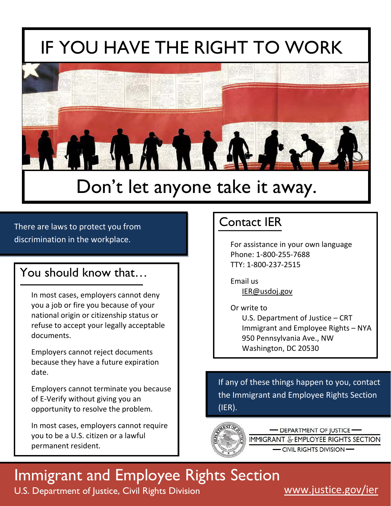# **IF YOU HAVE THE RIGHT TO WORK**



## Don't let anyone take it away.

#### There are laws to protect you from discrimination in the workplace.

#### You should know that…

In most cases, employers cannot deny you a job or fire you because of your national origin or citizenship status or refuse to accept your legally acceptable documents.

Employers cannot reject documents because they have a future expiration date.

Employers cannot terminate you because of E-Verify without giving you an opportunity to resolve the problem.

In most cases, employers cannot require you to be a U.S. citizen or a lawful permanent resident.

### Contact IER

For assistance in your own language Phone: 1-800-255-7688 TTY: 1-800-237-2515

Email us [IER@usdoj.gov](mailto:IER@usdoj.gov) 

Or write to U.S. Department of Justice – CRT Immigrant and Employee Rights – NYA 950 Pennsylvania Ave., NW Washington, DC 20530

If any of these things happen to you, contact the Immigrant and Employee Rights Section (IER).



**DEPARTMENT OF JUSTICE-**IMMIGRANT & EMPLOYEE RIGHTS SECTION

- CIVIL RIGHTS DIVISION-

## Immigrant and Employee Rights Section

U.S. Department of Justice, Civil Rights Division WWW.justice.gov/ier